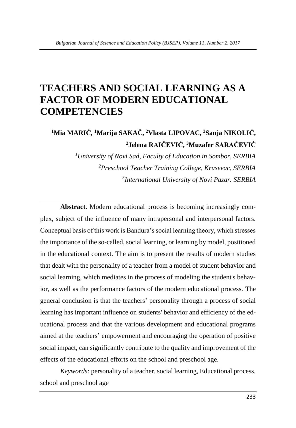# **TEACHERS AND SOCIAL LEARNING AS A FACTOR OF MODERN EDUCATIONAL COMPETENCIES**

**<sup>1</sup>Mia MARIĆ, <sup>1</sup>Marija SAKAČ, <sup>2</sup>Vlasta LIPOVAC, <sup>3</sup>Sanja NIKOLIĆ, <sup>2</sup>Jelena RAIČEVIĆ, <sup>3</sup>Muzafer SARAČEVIĆ**

> *<sup>1</sup>University of Novi Sad, Faculty of Education in Sombor, SERBIA <sup>2</sup>Preschool Teacher Training College, Krusevac, SERBIA 3 International University of Novi Pazar. SERBIA*

**Abstract.** Modern educational process is becoming increasingly complex, subject of the influence of many intrapersonal and interpersonal factors. Conceptual basis of this work is Bandura's social learning theory, which stresses the importance of the so-called, social learning, or learning by model, positioned in the educational context. The aim is to present the results of modern studies that dealt with the personality of a teacher from a model of student behavior and social learning, which mediates in the process of modeling the student's behavior, as well as the performance factors of the modern educational process. The general conclusion is that the teachers' personality through a process of social learning has important influence on students' behavior and efficiency of the educational process and that the various development and educational programs aimed at the teachers' empowerment and encouraging the operation of positive social impact, can significantly contribute to the quality and improvement of the effects of the educational efforts on the school and preschool age.

*Keywords:* personality of a teacher, social learning, Educational process, school and preschool age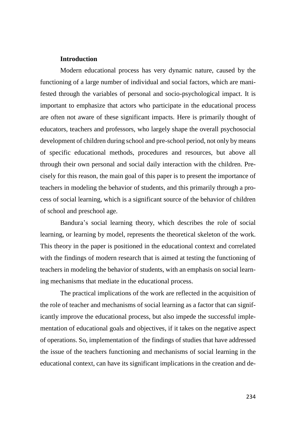## **Introduction**

Modern educational process has very dynamic nature, caused by the functioning of a large number of individual and social factors, which are manifested through the variables of personal and socio-psychological impact. It is important to emphasize that actors who participate in the educational process are often not aware of these significant impacts. Here is primarily thought of educators, teachers and professors, who largely shape the overall psychosocial development of children during school and pre-school period, not only by means of specific educational methods, procedures and resources, but above all through their own personal and social daily interaction with the children. Precisely for this reason, the main goal of this paper is to present the importance of teachers in modeling the behavior of students, and this primarily through a process of social learning, which is a significant source of the behavior of children of school and preschool age.

Bandura's social learning theory, which describes the role of social learning, or learning by model, represents the theoretical skeleton of the work. This theory in the paper is positioned in the educational context and correlated with the findings of modern research that is aimed at testing the functioning of teachers in modeling the behavior of students, with an emphasis on social learning mechanisms that mediate in the educational process.

The practical implications of the work are reflected in the acquisition of the role of teacher and mechanisms of social learning as a factor that can significantly improve the educational process, but also impede the successful implementation of educational goals and objectives, if it takes on the negative aspect of operations. So, implementation of the findings of studies that have addressed the issue of the teachers functioning and mechanisms of social learning in the educational context, can have its significant implications in the creation and de-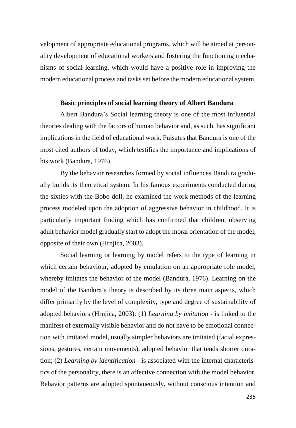velopment of appropriate educational programs, which will be aimed at personality development of educational workers and fostering the functioning mechanisms of social learning, which would have a positive role in improving the modern educational process and tasks set before the modern educational system.

#### **Basic principles of social learning theory of Albert Bandura**

Albert Bandura's Social learning theory is one of the most influential theories dealing with the factors of human behavior and, as such, has significant implications in the field of educational work. Pulsates that Bandura is one of the most cited authors of today, which testifies the importance and implications of his work (Bandura, 1976).

By the behavior researches formed by social influences Bandura gradually builds its theoretical system. In his famous experiments conducted during the sixties with the Bobo doll, he examined the work methods of the learning process modeled upon the adoption of aggressive behavior in childhood. It is particularly important finding which has confirmed that children, observing adult behavior model gradually start to adopt the moral orientation of the model, opposite of their own (Hrnjica, 2003).

Social learning or learning by model refers to the type of learning in which certain behaviour, adopted by emulation on an appropriate role model, whereby imitates the behavior of the model (Bandura, 1976). Learning on the model of the Bandura's theory is described by its three main aspects, which differ primarily by the level of complexity, type and degree of sustainability of adopted behaviors (Hrnjica, 2003): (1) *Learning by imitation* - is linked to the manifest of externally visible behavior and do not have to be emotional connection with imitated model, usually simpler behaviors are imitated (facial expressions, gestures, certain movements), adopted behavior that tends shorter duration; (2) *Learning by identification* - is associated with the internal characteristics of the personality, there is an affective connection with the model behavior. Behavior patterns are adopted spontaneously, without conscious intention and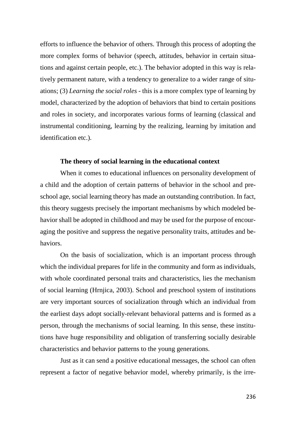efforts to influence the behavior of others. Through this process of adopting the more complex forms of behavior (speech, attitudes, behavior in certain situations and against certain people, etc.). The behavior adopted in this way is relatively permanent nature, with a tendency to generalize to a wider range of situations; (3) *Learning the social roles* - this is a more complex type of learning by model, characterized by the adoption of behaviors that bind to certain positions and roles in society, and incorporates various forms of learning (classical and instrumental conditioning, learning by the realizing, learning by imitation and identification etc.).

# **The theory of social learning in the educational context**

When it comes to educational influences on personality development of a child and the adoption of certain patterns of behavior in the school and preschool age, social learning theory has made an outstanding contribution. In fact, this theory suggests precisely the important mechanisms by which modeled behavior shall be adopted in childhood and may be used for the purpose of encouraging the positive and suppress the negative personality traits, attitudes and behaviors.

On the basis of socialization, which is an important process through which the individual prepares for life in the community and form as individuals, with whole coordinated personal traits and characteristics, lies the mechanism of social learning (Hrnjica, 2003). School and preschool system of institutions are very important sources of socialization through which an individual from the earliest days adopt socially-relevant behavioral patterns and is formed as a person, through the mechanisms of social learning. In this sense, these institutions have huge responsibility and obligation of transferring socially desirable characteristics and behavior patterns to the young generations.

Just as it can send a positive educational messages, the school can often represent a factor of negative behavior model, whereby primarily, is the irre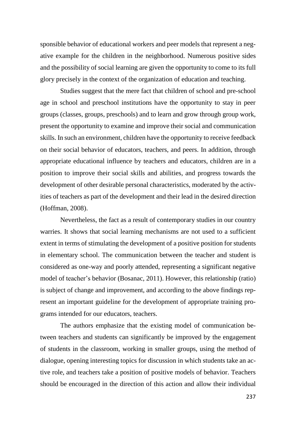sponsible behavior of educational workers and peer models that represent a negative example for the children in the neighborhood. Numerous positive sides and the possibility of social learning are given the opportunity to come to its full glory precisely in the context of the organization of education and teaching.

Studies suggest that the mere fact that children of school and pre-school age in school and preschool institutions have the opportunity to stay in peer groups (classes, groups, preschools) and to learn and grow through group work, present the opportunity to examine and improve their social and communication skills. In such an environment, children have the opportunity to receive feedback on their social behavior of educators, teachers, and peers. In addition, through appropriate educational influence by teachers and educators, children are in a position to improve their social skills and abilities, and progress towards the development of other desirable personal characteristics, moderated by the activities of teachers as part of the development and their lead in the desired direction (Hoffman, 2008).

Nevertheless, the fact as a result of contemporary studies in our country warries. It shows that social learning mechanisms are not used to a sufficient extent in terms of stimulating the development of a positive position for students in elementary school. The communication between the teacher and student is considered as one-way and poorly attended, representing a significant negative model of teacher's behavior (Bosanac, 2011). However, this relationship (ratio) is subject of change and improvement, and according to the above findings represent an important guideline for the development of appropriate training programs intended for our educators, teachers.

The authors emphasize that the existing model of communication between teachers and students can significantly be improved by the engagement of students in the classroom, working in smaller groups, using the method of dialogue, opening interesting topics for discussion in which students take an active role, and teachers take a position of positive models of behavior. Teachers should be encouraged in the direction of this action and allow their individual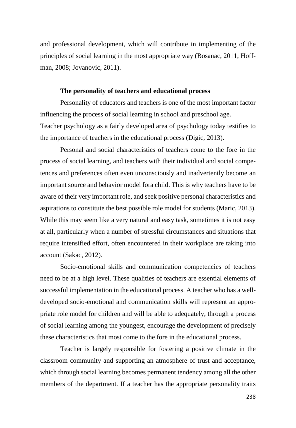and professional development, which will contribute in implementing of the principles of social learning in the most appropriate way (Bosanac, 2011; Hoffman, 2008; Jovanovic, 2011).

#### **The personality of teachers and educational process**

Personality of educators and teachers is one of the most important factor influencing the process of social learning in school and preschool age. Teacher psychology as a fairly developed area of psychology today testifies to the importance of teachers in the educational process (Digic, 2013).

Personal and social characteristics of teachers come to the fore in the process of social learning, and teachers with their individual and social competences and preferences often even unconsciously and inadvertently become an important source and behavior model fora child. This is why teachers have to be aware of their very important role, and seek positive personal characteristics and aspirations to constitute the best possible role model for students (Maric, 2013). While this may seem like a very natural and easy task, sometimes it is not easy at all, particularly when a number of stressful circumstances and situations that require intensified effort, often encountered in their workplace are taking into account (Sakac, 2012).

Socio-emotional skills and communication competencies of teachers need to be at a high level. These qualities of teachers are essential elements of successful implementation in the educational process. A teacher who has a welldeveloped socio-emotional and communication skills will represent an appropriate role model for children and will be able to adequately, through a process of social learning among the youngest, encourage the development of precisely these characteristics that most come to the fore in the educational process.

Teacher is largely responsible for fostering a positive climate in the classroom community and supporting an atmosphere of trust and acceptance, which through social learning becomes permanent tendency among all the other members of the department. If a teacher has the appropriate personality traits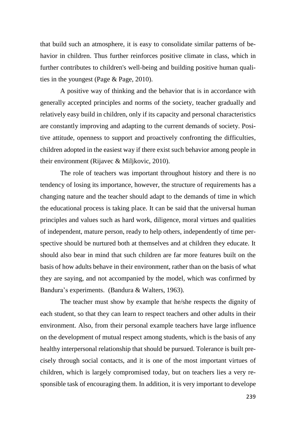that build such an atmosphere, it is easy to consolidate similar patterns of behavior in children. Thus further reinforces positive climate in class, which in further contributes to children's well-being and building positive human qualities in the youngest (Page & Page, 2010).

A positive way of thinking and the behavior that is in accordance with generally accepted principles and norms of the society, teacher gradually and relatively easy build in children, only if its capacity and personal characteristics are constantly improving and adapting to the current demands of society. Positive attitude, openness to support and proactively confronting the difficulties, children adopted in the easiest way if there exist such behavior among people in their environment (Rijavec & Miljkovic, 2010).

The role of teachers was important throughout history and there is no tendency of losing its importance, however, the structure of requirements has a changing nature and the teacher should adapt to the demands of time in which the educational process is taking place. It can be said that the universal human principles and values such as hard work, diligence, moral virtues and qualities of independent, mature person, ready to help others, independently of time perspective should be nurtured both at themselves and at children they educate. It should also bear in mind that such children are far more features built on the basis of how adults behave in their environment, rather than on the basis of what they are saying, and not accompanied by the model, which was confirmed by Bandura's experiments. (Bandura & Walters, 1963).

The teacher must show by example that he/she respects the dignity of each student, so that they can learn to respect teachers and other adults in their environment. Also, from their personal example teachers have large influence on the development of mutual respect among students, which is the basis of any healthy interpersonal relationship that should be pursued. Tolerance is built precisely through social contacts, and it is one of the most important virtues of children, which is largely compromised today, but on teachers lies a very responsible task of encouraging them. In addition, it is very important to develope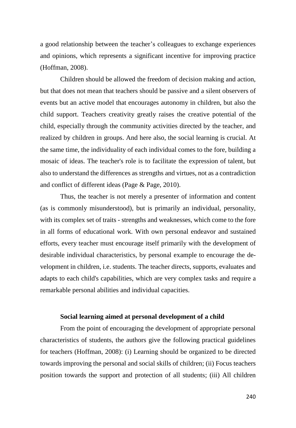a good relationship between the teacher's colleagues to exchange experiences and opinions, which represents a significant incentive for improving practice (Hoffman, 2008).

Children should be allowed the freedom of decision making and action, but that does not mean that teachers should be passive and a silent observers of events but an active model that encourages autonomy in children, but also the child support. Teachers creativity greatly raises the creative potential of the child, especially through the community activities directed by the teacher, and realized by children in groups. And here also, the social learning is crucial. At the same time, the individuality of each individual comes to the fore, building a mosaic of ideas. The teacher's role is to facilitate the expression of talent, but also to understand the differences as strengths and virtues, not as a contradiction and conflict of different ideas (Page & Page, 2010).

Thus, the teacher is not merely a presenter of information and content (as is commonly misunderstood), but is primarily an individual, personality, with its complex set of traits - strengths and weaknesses, which come to the fore in all forms of educational work. With own personal endeavor and sustained efforts, every teacher must encourage itself primarily with the development of desirable individual characteristics, by personal example to encourage the development in children, i.e. students. The teacher directs, supports, evaluates and adapts to each child's capabilities, which are very complex tasks and require a remarkable personal abilities and individual capacities.

#### **Social learning aimed at personal development of a child**

From the point of encouraging the development of appropriate personal characteristics of students, the authors give the following practical guidelines for teachers (Hoffman, 2008): (i) Learning should be organized to be directed towards improving the personal and social skills of children; (ii) Focus teachers position towards the support and protection of all students; (iii) All children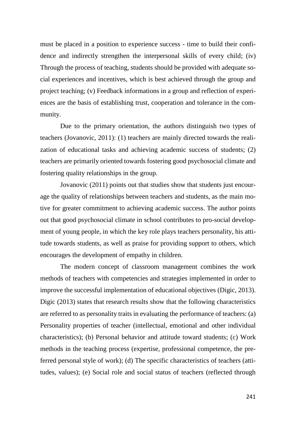must be placed in a position to experience success - time to build their confidence and indirectly strengthen the interpersonal skills of every child; (iv) Through the process of teaching, students should be provided with adequate social experiences and incentives, which is best achieved through the group and project teaching; (v) Feedback informations in a group and reflection of experiences are the basis of establishing trust, cooperation and tolerance in the community.

Due to the primary orientation, the authors distinguish two types of teachers (Jovanovic, 2011): (1) teachers are mainly directed towards the realization of educational tasks and achieving academic success of students; (2) teachers are primarily oriented towards fostering good psychosocial climate and fostering quality relationships in the group.

Jovanovic (2011) points out that studies show that students just encourage the quality of relationships between teachers and students, as the main motive for greater commitment to achieving academic success. The author points out that good psychosocial climate in school contributes to pro-social development of young people, in which the key role plays teachers personality, his attitude towards students, as well as praise for providing support to others, which encourages the development of empathy in children.

The modern concept of classroom management combines the work methods of teachers with competencies and strategies implemented in order to improve the successful implementation of educational objectives (Digic, 2013). Digic (2013) states that research results show that the following characteristics are referred to as personality traits in evaluating the performance of teachers: (a) Personality properties of teacher (intellectual, emotional and other individual characteristics); (b) Personal behavior and attitude toward students; (c) Work methods in the teaching process (expertise, professional competence, the preferred personal style of work); (d) The specific characteristics of teachers (attitudes, values); (e) Social role and social status of teachers (reflected through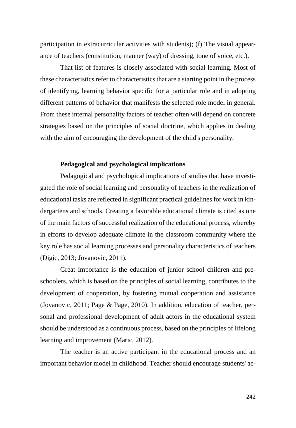participation in extracurricular activities with students); (f) The visual appearance of teachers (constitution, manner (way) of dressing, tone of voice, etc.).

That list of features is closely associated with social learning. Most of these characteristics refer to characteristics that are a starting point in the process of identifying, learning behavior specific for a particular role and in adopting different patterns of behavior that manifests the selected role model in general. From these internal personality factors of teacher often will depend on concrete strategies based on the principles of social doctrine, which applies in dealing with the aim of encouraging the development of the child's personality.

# **Pedagogical and psychological implications**

Pedagogical and psychological implications of studies that have investigated the role of social learning and personality of teachers in the realization of educational tasks are reflected in significant practical guidelines for work in kindergartens and schools. Creating a favorable educational climate is cited as one of the main factors of successful realization of the educational process, whereby in efforts to develop adequate climate in the classroom community where the key role has social learning processes and personality characteristics of teachers (Digic, 2013; Jovanovic, 2011).

Great importance is the education of junior school children and preschoolers, which is based on the principles of social learning, contributes to the development of cooperation, by fostering mutual cooperation and assistance (Jovanovic, 2011; Page & Page, 2010). In addition, education of teacher, personal and professional development of adult actors in the educational system should be understood as a continuous process, based on the principles of lifelong learning and improvement (Maric, 2012).

The teacher is an active participant in the educational process and an important behavior model in childhood. Teacher should encourage students' ac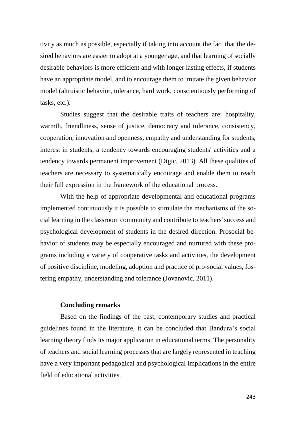tivity as much as possible, especially if taking into account the fact that the desired behaviors are easier to adopt at a younger age, and that learning of socially desirable behaviors is more efficient and with longer lasting effects, if students have an appropriate model, and to encourage them to imitate the given behavior model (altruistic behavior, tolerance, hard work, conscientiously performing of tasks, etc.).

Studies suggest that the desirable traits of teachers are: hospitality, warmth, friendliness, sense of justice, democracy and tolerance, consistency, cooperation, innovation and openness, empathy and understanding for students, interest in students, a tendency towards encouraging students' activities and a tendency towards permanent improvement (Digic, 2013). All these qualities of teachers are necessary to systematically encourage and enable them to reach their full expression in the framework of the educational process.

With the help of appropriate developmental and educational programs implemented continuously it is possible to stimulate the mechanisms of the social learning in the classroom community and contribute to teachers' success and psychological development of students in the desired direction. Prosocial behavior of students may be especially encouraged and nurtured with these programs including a variety of cooperative tasks and activities, the development of positive discipline, modeling, adoption and practice of pro-social values, fostering empathy, understanding and tolerance (Jovanovic, 2011).

# **Concluding remarks**

Based on the findings of the past, contemporary studies and practical guidelines found in the literature, it can be concluded that Bandura's social learning theory finds its major application in educational terms. The personality of teachers and social learning processes that are largely represented in teaching have a very important pedagogical and psychological implications in the entire field of educational activities.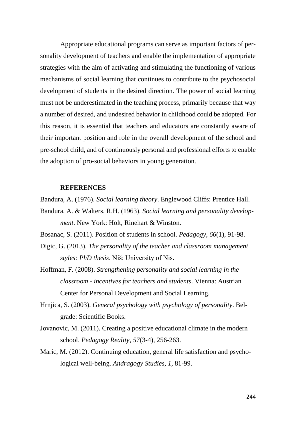Appropriate educational programs can serve as important factors of personality development of teachers and enable the implementation of appropriate strategies with the aim of activating and stimulating the functioning of various mechanisms of social learning that continues to contribute to the psychosocial development of students in the desired direction. The power of social learning must not be underestimated in the teaching process, primarily because that way a number of desired, and undesired behavior in childhood could be adopted. For this reason, it is essential that teachers and educators are constantly aware of their important position and role in the overall development of the school and pre-school child, and of continuously personal and professional efforts to enable the adoption of pro-social behaviors in young generation.

## **REFERENCES**

Bandura, A. (1976). *Social learning theory*. Englewood Cliffs: Prentice Hall.

Bandura, A. & Walters, R.H. (1963). *Social learning and personality development*. New York: Holt, Rinehart & Winston.

Bosanac, S. (2011). Position of students in school. *Pedagogy*, *66*(1), 91-98.

- Digic, G. (2013). *The personality of the teacher and classroom management styles: PhD thesis*. Niš: University of Nis.
- Hoffman, F. (2008). *Strengthening personality and social learning in the classroom - incentives for teachers and students*. Vienna: Austrian Center for Personal Development and Social Learning.
- Hrnjica, S. (2003). *General psychology with psychology of personality*. Belgrade: Scientific Books.
- Jovanovic, M. (2011). Creating a positive educational climate in the modern school. *Pedagogy Reality*, *57*(3-4), 256-263.
- Maric, M. (2012). Continuing education, general life satisfaction and psychological well-being. *Andragogy Studies, 1*, 81-99.